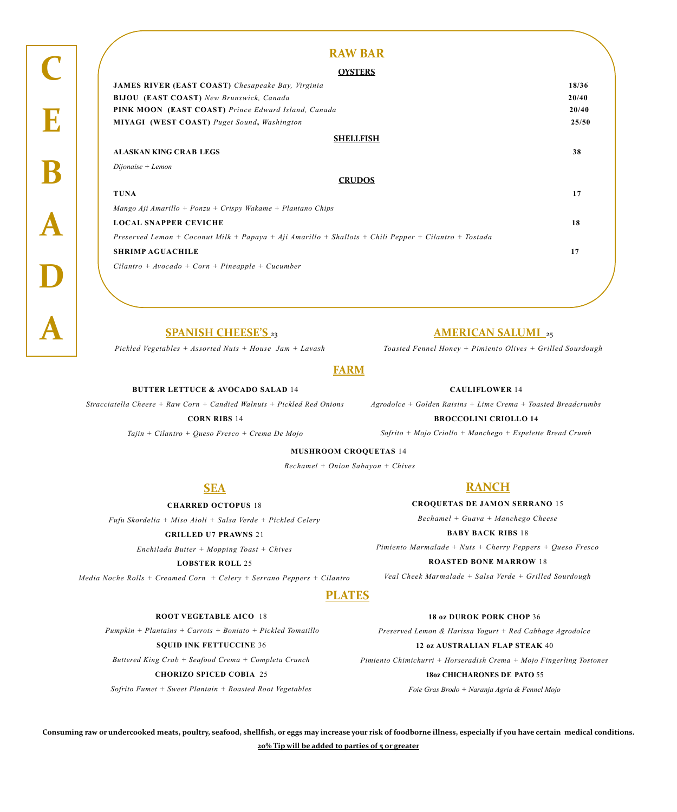### **A SPANISH CHEESE'S** <sup>23</sup>

*Pickled Vegetables + Assorted Nuts + House Jam + Lavash*

### **AMERICAN SALUMI** <sup>25</sup>

*Toasted Fennel Honey + Pimiento Olives + Grilled Sourdough*

**ROOT VEGETABLE AICO** 18

*Pumpkin + Plantains + Carrots + Boniato + Pickled Tomatillo*

**SQUID INK FETTUCCINE** 36

*Buttered King Crab + Seafood Crema + Completa Crunch*

**CHORIZO SPICED COBIA** 25

*Sofrito Fumet + Sweet Plantain + Roasted Root Vegetables*

#### **18 oz DUROK PORK CHOP** 36

*Preserved Lemon & Harissa Yogurt + Red Cabbage Agrodolce* 

**12 oz AUSTRALIAN FLAP STEAK** 40

*Pimiento Chimichurri + Horseradish Crema + Mojo Fingerling Tostones* 

**18oz CHICHARONES DE PATO** 55

*Foie Gras Brodo + Naranja Agria & Fennel Mojo* 

## **FARM**

#### **BUTTER LETTUCE & AVOCADO SALAD** 14

*Stracciatella Cheese + Raw Corn + Candied Walnuts + Pickled Red Onions*

**CORN RIBS** 14

*Tajin + Cilantro + Queso Fresco + Crema De Mojo*

**CAULIFLOWER** 14

*Agrodolce + Golden Raisins + Lime Crema + Toasted Breadcrumbs*

#### **BROCCOLINI CRIOLLO 14**

*Sofrito + Mojo Criollo + Manchego + Espelette Bread Crumb* 

## **PLATES**

## **RAW BAR**

#### **OYSTERS**

| <b>JAMES RIVER (EAST COAST)</b> Chesapeake Bay, Virginia                                              | 18/36 |
|-------------------------------------------------------------------------------------------------------|-------|
| <b>BIJOU</b> (EAST COAST) New Brunswick, Canada                                                       | 20/40 |
| <b>PINK MOON</b> (EAST COAST) Prince Edward Island, Canada                                            | 20/40 |
| <b>MIYAGI</b> (WEST COAST) Puget Sound, Washington                                                    | 25/50 |
| <b>SHELLFISH</b>                                                                                      |       |
| <b>ALASKAN KING CRAB LEGS</b>                                                                         | 38    |
| $Dijonaise + Lemon$                                                                                   |       |
| <b>CRUDOS</b>                                                                                         |       |
| <b>TUNA</b>                                                                                           | 17    |
| Mango Aji Amarillo + Ponzu + Crispy Wakame + Plantano Chips                                           |       |
| <b>LOCAL SNAPPER CEVICHE</b>                                                                          | 18    |
| Preserved Lemon + Coconut Milk + Papaya + Aji Amarillo + Shallots + Chili Pepper + Cilantro + Tostada |       |
| <b>SHRIMP AGUACHILE</b>                                                                               | 17    |
| $Cilantro + Avocado + Corn + Pineapple + Cucumber$                                                    |       |
|                                                                                                       |       |
|                                                                                                       |       |

#### **MUSHROOM CROQUETAS** 14

*Bechamel + Onion Sabayon + Chives*

## **SEA**

**CHARRED OCTOPUS** 18 *Fufu Skordelia + Miso Aioli + Salsa Verde + Pickled Celery*

**GRILLED U7 PRAWNS** 21

*Enchilada Butter + Mopping Toast + Chives*

**LOBSTER ROLL** 25

*Media Noche Rolls + Creamed Corn + Celery + Serrano Peppers + Cilantro* 

## **RANCH**

**CROQUETAS DE JAMON SERRANO** 15

*Bechamel + Guava + Manchego Cheese*

#### **BABY BACK RIBS** 18

*Pimiento Marmalade + Nuts + Cherry Peppers + Queso Fresco*

#### **ROASTED BONE MARROW** 18

*Veal Cheek Marmalade + Salsa Verde + Grilled Sourdough* 

**Consuming raw or undercooked meats, poultry, seafood, shellfish, or eggs may increase your risk of foodborne illness, especially if you have certain medical conditions. 20% Tip will be added to parties of 5 or greater**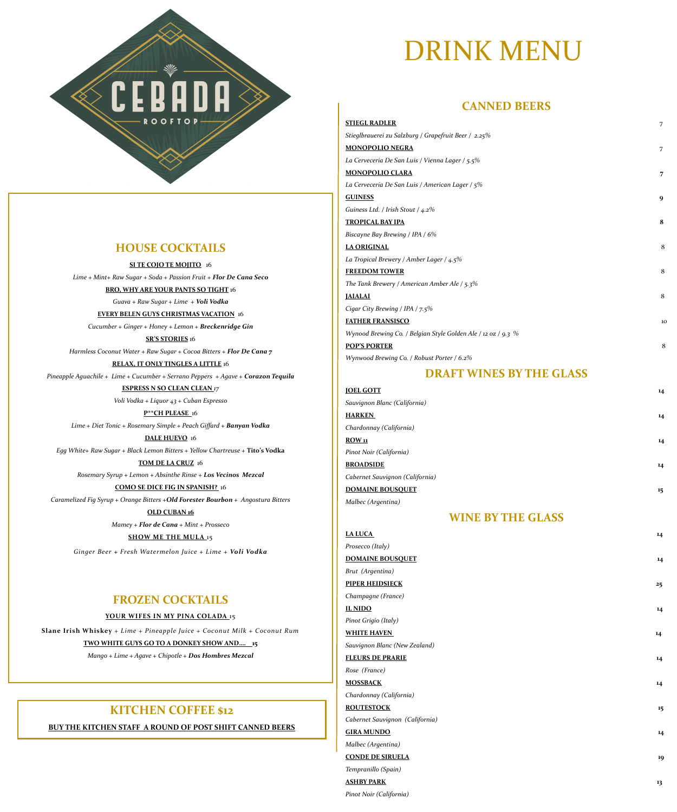## DRINK MENU

## **CANNED BEERS**

| <b>STIEGL RADLER</b>                                          | 7              |
|---------------------------------------------------------------|----------------|
| Stieglbrauerei zu Salzburg / Grapefruit Beer / 2.25%          |                |
| <b>MONOPOLIO NEGRA</b>                                        | $\overline{7}$ |
| La Cerveceria De San Luis / Vienna Lager / 5.5%               |                |
| <b>MONOPOLIO CLARA</b>                                        | $\overline{7}$ |
| La Cerveceria De San Luis / American Lager / 5%               |                |
| <b>GUINESS</b>                                                | 9              |
| Guiness Ltd. / Irish Stout / 4.2%                             |                |
| <b>TROPICAL BAY IPA</b>                                       | 8              |
| Biscayne Bay Brewing / IPA / 6%                               |                |
| <b>LA ORIGINAL</b>                                            | 8              |
| La Tropical Brewery / Amber Lager / $4.5\%$                   |                |
| <b>FREEDOM TOWER</b>                                          | 8              |
| The Tank Brewery / American Amber Ale / $5.3\%$               |                |
| <b>JAIALAI</b>                                                | 8              |
| Cigar City Brewing / IPA / $7.5\%$                            |                |
| <b>FATHER FRANSISCO</b>                                       | 10             |
| Wynood Brewing Co. / Belgian Style Golden Ale / 12 oz / 9.3 % |                |
| <b>POP'S PORTER</b>                                           | 8              |
| Wynwood Brewing Co. / Robust Porter / 6.2%                    |                |
|                                                               |                |

| <b>JOEL GOTT</b>             | 14 |
|------------------------------|----|
| Sauvignon Blanc (California) |    |
| <b>HARKEN</b>                | 14 |

## **DRAFT WINES BY THE GLASS**

| <b>LA LUCA</b>                  | 14 |
|---------------------------------|----|
| Prosecco (Italy)                |    |
| <b>DOMAINE BOUSQUET</b>         | 14 |
| Brut (Argentina)                |    |
| <b>PIPER HEIDSIECK</b>          | 25 |
| Champagne (France)              |    |
| <b>IL NIDO</b>                  | 14 |
| Pinot Grigio (Italy)            |    |
| <b>WHITE HAVEN</b>              | 14 |
| Sauvignon Blanc (New Zealand)   |    |
| <b>FLEURS DE PRARIE</b>         | 14 |
| Rose (France)                   |    |
| <b>MOSSBACK</b>                 | 14 |
| Chardonnay (California)         |    |
| <b>ROUTESTOCK</b>               | 15 |
| Cabernet Sauvignon (California) |    |
| <b>GIRA MUNDO</b>               | 14 |
| Malbec (Argentina)              |    |
| <b>CONDE DE SIRUELA</b>         | 19 |
| Tempranillo (Spain)             |    |
| <b>ASHBY PARK</b>               | 13 |
| Pinot Noir (California)         |    |

| Chardonnay (California)         |    |
|---------------------------------|----|
| ROW <sub>11</sub>               | 14 |
| Pinot Noir (California)         |    |
| <b>BROADSIDE</b>                | 14 |
| Cabernet Sauvignon (California) |    |
| <b>DOMAINE BOUSQUET</b>         | 15 |
| Malbec (Argentina)              |    |

## **WINE BY THE GLASS**

## **HOUSE COCKTAILS**

**ROOFTOP** 

CE

**SI TE COJO TE MOJITO** 16 *Lime + Mint+ Raw Sugar + Soda + Passion Fruit + Flor De Cana Seco*

**BRO, WHY ARE YOUR PANTS SO TIGHT** 16

*Guava + Raw Sugar + Lime + Voli Vodka*

#### **EVERY BELEN GUYS CHRISTMAS VACATION** 16

*Cucumber + Ginger + Honey + Lemon + Breckenridge Gin*

#### **SR'S STORIES** 16

*Harmless Coconut Water + Raw Sugar + Cocoa Bitters + Flor De Cana 7*

#### **RELAX, IT ONLY TINGLES A LITTLE** 16

*Pineapple Aguachile + Lime + Cucumber + Serrano Peppers + Agave + Corazon Tequila* 

#### **ESPRESS N SO CLEAN CLEAN** *17*

*Voli Vodka + Liquor 43 + Cuban Espresso*

#### **P\*\*CH PLEASE** 16

*Lime + Diet Tonic + Rosemary Simple + Peach Giffard + Banyan Vodka*  **DALE HUEVO** 16 *Egg White+ Raw Sugar + Black Lemon Bitters + Yellow Chartreuse +* **Tito's Vodka** **TOM DE LA CRUZ** 16 *Rosemary Syrup + Lemon + Absinthe Rinse + Los Vecinos Mezcal* **COMO SE DICE FIG IN SPANISH?** 16 *Caramelized Fig Syrup + Orange Bitters +Old Forester Bourbon + Angostura Bitters* **OLD CUBAN 16** *Mamey + Flor de Cana + Mint + Prosseco*  **SHOW ME THE MULA** 15 *Ginger Beer + Fresh Watermelon Juice + Lime + Voli Vodka* **FROZEN COCKTAILS**

#### **YOUR WIFES IN MY PINA COLADA** 15

**Slane Irish Whiskey** *+ Lime + Pineapple Juice + Coconut Milk + Coconut Rum*

#### **TWO WHITE GUYS GO TO A DONKEY SHOW AND…. 15**

*Mango + Lime + Agave + Chipotle + Dos Hombres Mezcal*

## **KITCHEN COFFEE \$12**

**BUY THE KITCHEN STAFF A ROUND OF POST SHIFT CANNED BEERS**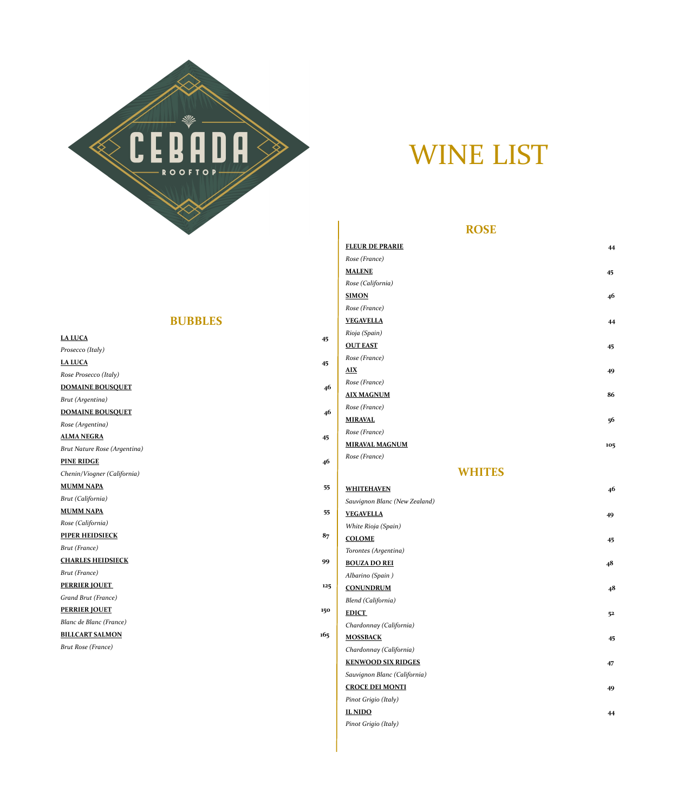

# WINE LIST

## **ROSE**

|                                                          |     | <b>FLEUR DE PRARIE</b>        | 44             |
|----------------------------------------------------------|-----|-------------------------------|----------------|
|                                                          |     | Rose (France)                 |                |
|                                                          |     | <b>MALENE</b>                 | 45             |
|                                                          |     | Rose (California)             |                |
|                                                          |     | <b>SIMON</b>                  | 46             |
|                                                          |     | Rose (France)                 |                |
| <b>BUBBLES</b>                                           |     | <b>VEGAVELLA</b>              | 44             |
| <b>LA LUCA</b>                                           |     | Rioja (Spain)                 |                |
| Prosecco (Italy)                                         | 45  | <b>OUT EAST</b>               | 45             |
| <b>LA LUCA</b>                                           |     | Rose (France)                 |                |
| Rose Prosecco (Italy)                                    | 45  | $\overline{AIX}$              | 49             |
| <b>DOMAINE BOUSQUET</b>                                  | 46  | Rose (France)                 |                |
| <b>Brut</b> (Argentina)                                  |     | <b>AIX MAGNUM</b>             | 86             |
| <b>DOMAINE BOUSQUET</b>                                  |     | Rose (France)                 |                |
|                                                          | 46  | <b>MIRAVAL</b>                | 56             |
| Rose (Argentina)<br><b>ALMA NEGRA</b>                    |     | Rose (France)                 |                |
|                                                          | 45  | <b>MIRAVAL MAGNUM</b>         | 105            |
| <b>Brut Nature Rose (Argentina)</b><br><b>PINE RIDGE</b> |     | Rose (France)                 |                |
| Chenin/Viogner (California)                              | 46  | <b>WHITES</b>                 |                |
| <b>MUMM NAPA</b>                                         |     |                               |                |
| Brut (California)                                        | 55  | <b>WHITEHAVEN</b>             | 46             |
| <b>MUMM NAPA</b>                                         |     | Sauvignon Blanc (New Zealand) |                |
| Rose (California)                                        | 55  | <b>VEGAVELLA</b>              | 49             |
| <b>PIPER HEIDSIECK</b>                                   | 87  | White Rioja (Spain)           |                |
| <b>Brut</b> (France)                                     |     | <b>COLOME</b>                 | 45             |
| <b>CHARLES HEIDSIECK</b>                                 |     | Torontes (Argentina)          |                |
| <b>Brut</b> (France)                                     | 99  | <b>BOUZA DO REI</b>           | 48             |
| <b>PERRIER JOUET</b>                                     |     | Albarino (Spain)              |                |
| Grand Brut (France)                                      | 125 | <b>CONUNDRUM</b>              | 48             |
| <b>PERRIER JOUET</b>                                     |     | <b>Blend (California)</b>     |                |
| <b>Blanc de Blanc (France)</b>                           | 150 | <b>EDICT</b>                  | 5 <sup>2</sup> |
| <b>BILLCART SALMON</b>                                   |     | Chardonnay (California)       |                |
|                                                          | 165 | <b>MOSSBACK</b>               | 45             |
| <b>Brut Rose (France)</b>                                |     | Chardonnay (California)       |                |
|                                                          |     | <b>KENWOOD SIX RIDGES</b>     | 47             |
|                                                          |     | Sauvignon Blanc (California)  |                |
|                                                          |     | <b>CROCE DEI MONTI</b>        | 49             |
|                                                          |     | Pinot Grigio (Italy)          |                |
|                                                          |     | <b>IL NIDO</b>                | 44             |
|                                                          |     | Pinot Grigio (Italy)          |                |

| <b>LA LUCA</b>                     |
|------------------------------------|
| Prosecco (Italy)                   |
| <b>LA LUCA</b>                     |
| Rose Prosecco (Italy)              |
| <b>DOMAINE BOUSQUET</b>            |
| Brut (Argentina)                   |
| <b>DOMAINE BOUSQUET</b>            |
| $D_{\text{max}}(A_{\text{trans}})$ |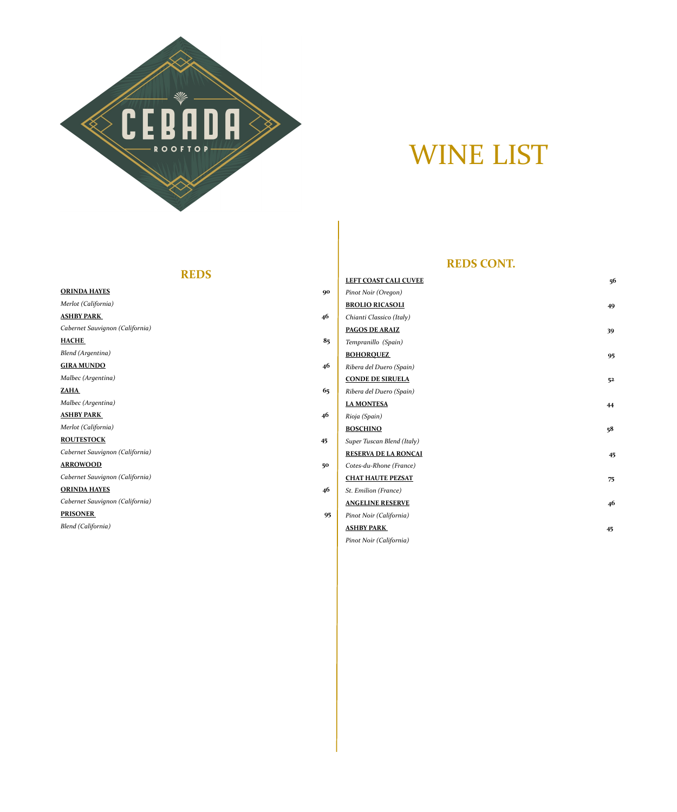## **REDS**

| <b>LEFT COAST CALI CUVEE</b><br>56        |
|-------------------------------------------|
| 90<br>Pinot Noir (Oregon)                 |
| <b>BROLIO RICASOLI</b><br>49              |
| 46<br>Chianti Classico (Italy)            |
| <b>PAGOS DE ARAIZ</b><br>39               |
| 85<br>Tempranillo (Spain)                 |
| <b>BOHOROUEZ</b><br>95                    |
| 46<br>Ribera del Duero (Spain)            |
| <b>CONDE DE SIRUELA</b><br>5 <sup>2</sup> |
| 65<br>Ribera del Duero (Spain)            |
| <b>LA MONTESA</b><br>44                   |
| 46<br>Rioja (Spain)                       |
|                                           |



# WINE LIST

**REDS CONT.**

| Merlot (California)             |    | <b>BOSCHINO</b>             | 5 <sup>8</sup> |
|---------------------------------|----|-----------------------------|----------------|
| <b>ROUTESTOCK</b>               | 45 | Super Tuscan Blend (Italy)  |                |
| Cabernet Sauvignon (California) |    | <b>RESERVA DE LA RONCAI</b> | 45             |
| <b>ARROWOOD</b>                 | 50 | Cotes-du-Rhone (France)     |                |
| Cabernet Sauvignon (California) |    | <b>CHAT HAUTE PEZSAT</b>    | 75             |
| <b>ORINDA HAYES</b>             | 46 | <b>St. Emilion (France)</b> |                |
| Cabernet Sauvignon (California) |    | <b>ANGELINE RESERVE</b>     | 46             |
| <b>PRISONER</b>                 | 95 | Pinot Noir (California)     |                |
| <b>Blend (California)</b>       |    | <b>ASHBY PARK</b>           | 45             |
|                                 |    | Pinot Noir (California)     |                |